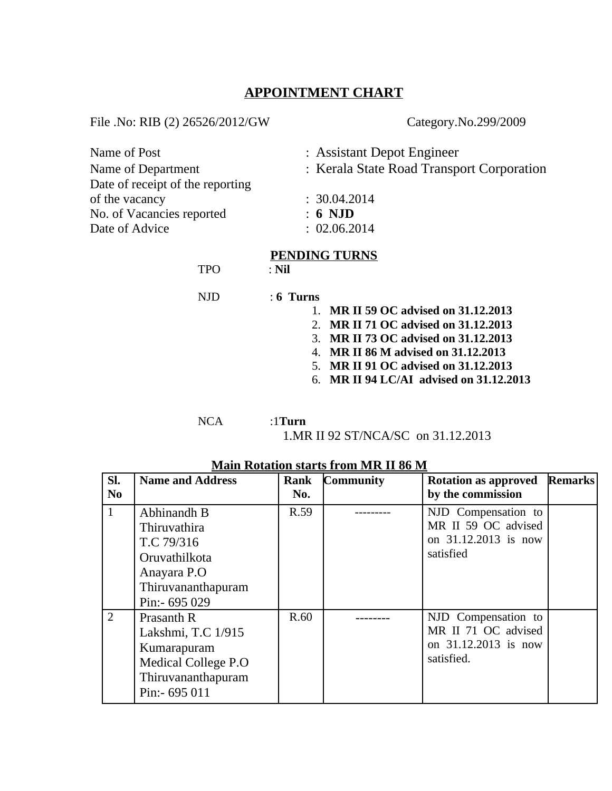## **APPOINTMENT CHART**

File .No: RIB (2) 26526/2012/GW Category.No.299/2009

| Name of Post                     | : Assistant Depot Engineer                |
|----------------------------------|-------------------------------------------|
| Name of Department               | : Kerala State Road Transport Corporation |
| Date of receipt of the reporting |                                           |
| of the vacancy                   | : 30.04.2014                              |
| No. of Vacancies reported        | $: 6$ NJD                                 |
| Date of Advice                   | : 02.06.2014                              |
|                                  | DENDING THDNC                             |

### **PENDING TURNS**

TPO : **Nil**

NJD : **6 Turns**

- 1. **MR II 59 OC advised on 31.12.2013**
- 2. **MR II 71 OC advised on 31.12.2013**
- 3. **MR II 73 OC advised on 31.12.2013**
- 4. **MR II 86 M advised on 31.12.2013**
- 5. **MR II 91 OC advised on 31.12.2013**
- 6. **MR II 94 LC/AI advised on 31.12.2013**

NCA :1**Turn**

1.MR II 92 ST/NCA/SC on 31.12.2013

| SI.            | <b>Name and Address</b>                                                                                                 | Rank | <b>Community</b> | <b>Rotation as approved</b>                                                      | <b>Remarks</b> |
|----------------|-------------------------------------------------------------------------------------------------------------------------|------|------------------|----------------------------------------------------------------------------------|----------------|
| N <sub>0</sub> |                                                                                                                         | No.  |                  | by the commission                                                                |                |
| $\mathbf{1}$   | Abhinandh B<br><b>Thiruvathira</b><br>T.C 79/316<br>Oruvathilkota<br>Anayara P.O<br>Thiruvananthapuram<br>Pin:- 695 029 | R.59 |                  | NJD Compensation to<br>MR II 59 OC advised<br>on 31.12.2013 is now<br>satisfied  |                |
| 2              | Prasanth R<br>Lakshmi, T.C 1/915<br>Kumarapuram<br><b>Medical College P.O</b><br>Thiruvananthapuram<br>Pin:- 695 011    | R.60 |                  | NJD Compensation to<br>MR II 71 OC advised<br>on 31.12.2013 is now<br>satisfied. |                |

### **Main Rotation starts from MR II 86 M**